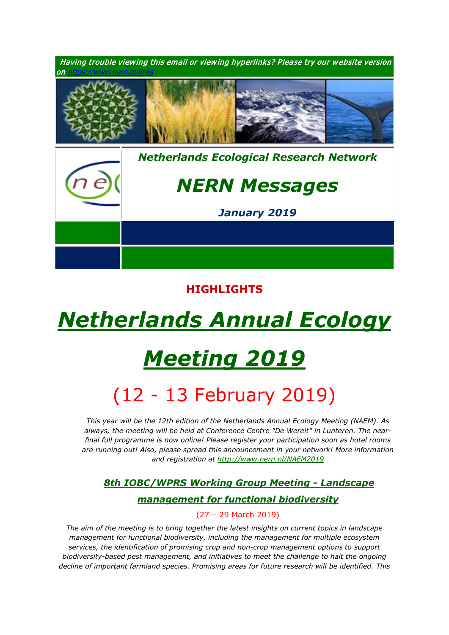

## **HIGHLIGHTS**

# *[Netherlands Annual Ecology](https://www.nern.nl/NAEM2019)*

# *[Meeting 2019](https://www.nern.nl/NAEM2019)*

## (12 - 13 February 2019)

1. *This year will be the 12th edition of the Netherlands Annual Ecology Meeting (NAEM). As always, the meeting will be held at Conference Centre "De Werelt" in Lunteren. The nearfinal full programme is now online! Please register your participation soon as hotel rooms are running out! Also, please spread this announcement in your network! More information and registration at<http://www.nern.nl/NAEM2019>*

## *1. [8th IOBC/WPRS Working Group Meeting](https://www.pe-rc.nl/IOBC-WPRS-meeting) - Landscape*

## *[management for functional biodiversity](https://www.pe-rc.nl/IOBC-WPRS-meeting)*

## 2. (27 – 29 March 2019)

*The aim of the meeting is to bring together the latest insights on current topics in landscape management for functional biodiversity, including the management for multiple ecosystem services, the identification of promising crop and non-crop management options to support biodiversity-based pest management, and initiatives to meet the challenge to halt the ongoing decline of important farmland species. Promising areas for future research will be identified. This*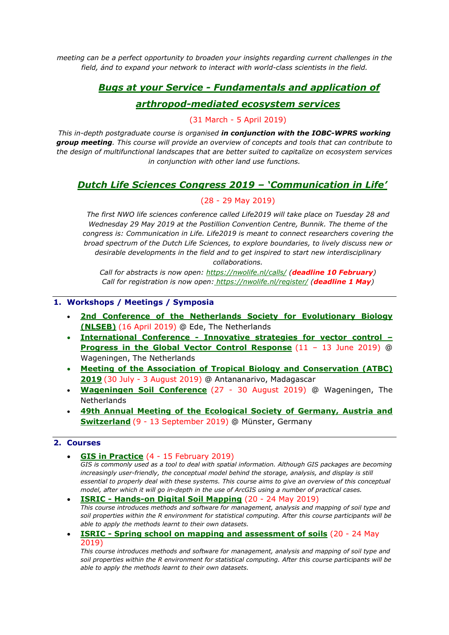*meeting can be a perfect opportunity to broaden your insights regarding current challenges in the field, ánd to expand your network to interact with world-class scientists in the field.*

## *1. Bugs at your Service - [Fundamentals and application of](https://www.pe-rc.nl/bugs)*

## *[arthropod-mediated ecosystem services](https://www.pe-rc.nl/bugs)*

### 2. (31 March - 5 April 2019)

*This in-depth postgraduate course is organised in conjunction with the IOBC-WPRS working group meeting. This course will provide an overview of concepts and tools that can contribute to the design of multifunctional landscapes that are better suited to capitalize on ecosystem services in conjunction with other land use functions.*

## *[Dutch Life Sciences Congress 2019 –](https://nwolife.nl/) 'Communication in Life'*

### 3. (28 - 29 May 2019)

*4. The first NWO life sciences conference called Life2019 will take place on Tuesday 28 and Wednesday 29 May 2019 at the Postillion Convention Centre, Bunnik. The theme of the congress is: Communication in Life. Life2019 is meant to connect researchers covering the broad spectrum of the Dutch Life Sciences, to explore boundaries, to lively discuss new or desirable developments in the field and to get inspired to start new interdisciplinary collaborations.*

*5. Call for abstracts is now open: <https://nwolife.nl/calls/> (deadline 10 February) Call for registration is now open: <https://nwolife.nl/register/> (deadline 1 May)*

#### **1. Workshops / Meetings / Symposia**

- **[2nd Conference of the Netherlands Society for Evolutionary Biology](http://nlseb.nl/meetings/)  [\(NLSEB\)](http://nlseb.nl/meetings/)** (16 April 2019) @ Ede, The Netherlands
- **International Conference - [Innovative strategies for vector control –](https://www.gvcr-2019.com/) [Progress in the Global Vector Control Response](https://www.gvcr-2019.com/)** (11 – 13 June 2019) @ Wageningen, The Netherlands
- **[Meeting of the Association of Tropical Biology and Conservation \(ATBC\)](https://atbc2019.org/)  [2019](https://atbc2019.org/)** (30 July - 3 August 2019) @ Antananarivo, Madagascar
- **Wageningen [Soil Conference](https://wageningensoilconference.eu/2019)** (27 30 August 2019) @ Wageningen, The **Netherlands**
- **[49th Annual Meeting of the Ecological Society of Germany, Austria and](https://www.gfoe-conference.de/)  [Switzerland](https://www.gfoe-conference.de/)** (9 - 13 September 2019) @ Münster, Germany

### **2. Courses**

- **[GIS in Practice](https://www.pe-rc.nl/gis-in-practice)** (4 15 February 2019) *GIS is commonly used as a tool to deal with spatial information. Although GIS packages are becoming increasingly user-friendly, the conceptual model behind the storage, analysis, and display is still essential to properly deal with these systems. This course aims to give an overview of this conceptual model, after which it will go in-depth in the use of ArcGIS using a number of practical cases.*
- **ISRIC - [Hands-on Digital Soil Mapping](http://www.isric.org/utilise/capacity-building/springschool/dsm)** (20 24 May 2019) *This course introduces methods and software for management, analysis and mapping of soil type and soil properties within the R environment for statistical computing. After this course participants will be able to apply the methods learnt to their own datasets.*
- **ISRIC - [Spring school on mapping and assessment of soils](http://www.isric.org/utilise/capacity-building/springschool/wsa)** (20 24 May 2019)

*This course introduces methods and software for management, analysis and mapping of soil type and soil properties within the R environment for statistical computing. After this course participants will be able to apply the methods learnt to their own datasets.*